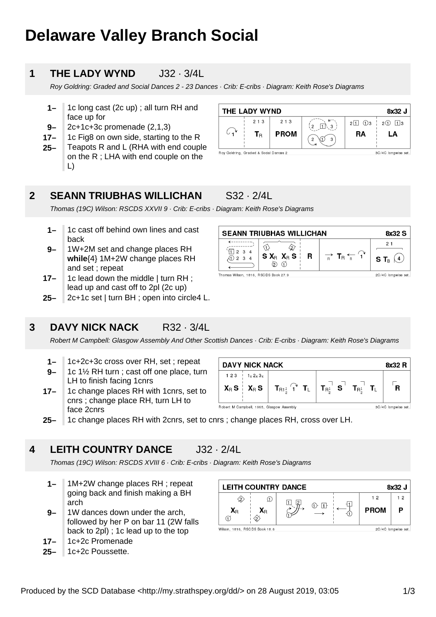# **Delaware Valley Branch Social**

#### **1 THE LADY WYND**  $J32 \cdot 3/4$

Roy Goldring: Graded and Social Dances 2 - 23 Dances · Crib: E-cribs · Diagram: Keith Rose's Diagrams

- **1–** 1c long cast (2c up) ; all turn RH and face up for
- **9–** 2c+1c+3c promenade (2,1,3)
- **17–** 1c Fig8 on own side, starting to the R
- **25–** Teapots R and L (RHA with end couple on the R ; LHA with end couple on the L)

| THE LADY WYND<br>8x32 J               |       |             |        |                       |                     |  |
|---------------------------------------|-------|-------------|--------|-----------------------|---------------------|--|
|                                       | 2 1 3 | 2 1 3       | 2<br>3 | $2\sqrt{1} \sqrt{0}3$ | $2(1)$ 13           |  |
|                                       | Тĸ    | <b>PROM</b> | 3<br>っ | RA                    | LA                  |  |
| Roy Goldring, Graded & Sodal Dances 2 |       |             |        |                       | 3C/4C longwise set. |  |

#### **2 SEANN TRIUBHAS WILLICHAN** S32 · 2/4L

Thomas (19C) Wilson: RSCDS XXVII 9 · Crib: E-cribs · Diagram: Keith Rose's Diagrams

- **1–** 1c cast off behind own lines and cast back
- **9–** 1W+2M set and change places RH **while**{4} 1M+2W change places RH and set ; repeat
- **17–** 1c lead down the middle | turn RH ; lead up and cast off to 2pl (2c up)
- **25–** 2c+1c set | turn BH ; open into circle4 L.

#### **3 DAVY NICK NACK** R32 · 3/4L



- **1–** 1c+2c+3c cross over RH, set ; repeat
- **9–** 1c 1½ RH turn ; cast off one place, turn LH to finish facing 1cnrs
- **17–** 1c change places RH with 1cnrs, set to cnrs ; change place RH, turn LH to face 2cnrs



**25–** 1c change places RH with 2cnrs, set to cnrs ; change places RH, cross over LH.

#### **4 LEITH COUNTRY DANCE** J32 · 2/4L

Thomas (19C) Wilson: RSCDS XVIII 6 · Crib: E-cribs · Diagram: Keith Rose's Diagrams

- **1–** 1M+2W change places RH ; repeat going back and finish making a BH arch
- **9–** 1W dances down under the arch, followed by her P on bar 11 (2W falls back to 2pl) ; 1c lead up to the top
- **17–** 1c+2c Promenade
- **25–** 1c+2c Poussette.

| <b>LEITH COUNTRY DANCE</b><br>8x32 J |                               |  |       |  |             |                     |
|--------------------------------------|-------------------------------|--|-------|--|-------------|---------------------|
| 52)                                  |                               |  |       |  | 12          | 12                  |
| $\mathbf{X}_\text{R}$                | $\mathsf{X}_\mathsf{R}$<br>2. |  | (1 )- |  | <b>PROM</b> |                     |
| Wilson, 1816, RSCDS Book 18.6        |                               |  |       |  |             | 2C/4C longwise set. |

**SEANN TRIUBHAS WILLICHAN** 8x32 S  $\leftarrow$   $\leftarrow$   $\leftarrow$   $\leftarrow$   $\leftarrow$   $\leftarrow$   $\leftarrow$   $\leftarrow$   $\leftarrow$   $\leftarrow$   $\leftarrow$   $\leftarrow$   $\leftarrow$   $\leftarrow$   $\leftarrow$   $\leftarrow$   $\leftarrow$   $\leftarrow$   $\leftarrow$   $\leftarrow$   $\leftarrow$   $\leftarrow$   $\leftarrow$   $\leftarrow$   $\leftarrow$   $\leftarrow$   $\leftarrow$   $\leftarrow$   $\leftarrow$   $\leftarrow$   $\leftarrow$   $\leftarrow$   $\leftarrow$   $\leftarrow$   $\leftarrow$   $\leftarrow$   $\leftarrow$  $21$  $\overline{\langle 1 \rangle}$  $\langle 2 \rangle$  $\sqrt[4]{11}$  2 3 4  $S X_R X_R S$  $\Rightarrow$  T<sub>R</sub>  $\leftarrow$  1 R S T<sub>B</sub>  $(4)$  $\bigodot$  2 3 4  $\odot$   $\odot$ Thomas Wilson, 1816, RSCDS Book 27.9 2C/4C longwise set

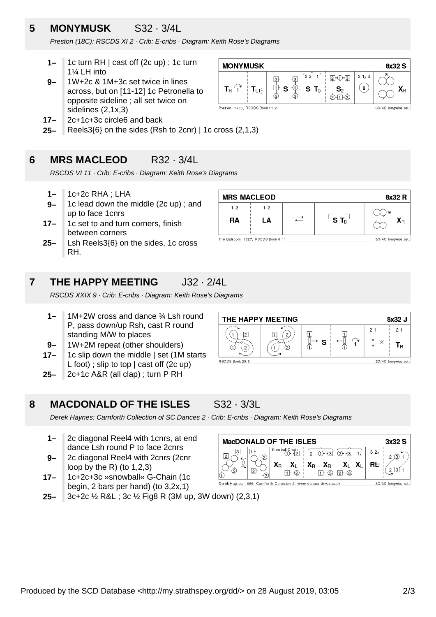### **5 MONYMUSK** S32 · 3/4L

Preston (18C): RSCDS XI 2 · Crib: E-cribs · Diagram: Keith Rose's Diagrams

- **1–** 1c turn RH | cast off (2c up) ; 1c turn 1¼ LH into
- **9–** 1W+2c & 1M+3c set twice in lines across, but on [11-12] 1c Petronella to opposite sideline ; all set twice on sidelines (2,1x,3)
- **17–** 2c+1c+3c circle6 and back
- **25–** Reels3{6} on the sides (Rsh to 2cnr) | 1c cross (2,1,3)

#### **6 MRS MACLEOD** R32 · 3/4L

RSCDS VI 11 · Crib: E-cribs · Diagram: Keith Rose's Diagrams

- **1–** 1c+2c RHA ; LHA
- **9–** 1c lead down the middle (2c up) ; and up to face 1cnrs
- **17–** 1c set to and turn corners, finish between corners
- **25–** Lsh Reels3{6} on the sides, 1c cross RH.



 $\overline{23}$ 

 $S$  T

-[3]  $\Phi$ 

早中

S

The Ballroom, 1827, RSCDS Book 6.11

**MONYMUSK** 

 $\mathbf{T}_{\mathrm{B}}$   $^\prime$  1

 $T_{L1}$ 

Preston, 1786, RSCDS Book 11.2

3C/4C longwise set

8x32 S

**SC/4C** longwise set

 $\mathbf{X}_\text{R}$ 

 $21 \times 3$ 

 $\left( 6\right)$ 

 $2 - 0 - 3$ 

 $\mathbf{S}_2$ 

 $\phi$ 

#### **7 THE HAPPY MEETING** J32 · 2/4L

RSCDS XXIX 9 · Crib: E-cribs · Diagram: Keith Rose's Diagrams

- **1–** 1M+2W cross and dance ¾ Lsh round P, pass down/up Rsh, cast R round standing M/W to places
- **9–** 1W+2M repeat (other shoulders)
- **17–** 1c slip down the middle | set (1M starts L foot) ; slip to top | cast off (2c up)
- **25–** 2c+1c A&R (all clap) ; turn P RH

### **8 MACDONALD OF THE ISLES** S32 · 3/3L



Derek Haynes: Carnforth Collection of SC Dances 2 · Crib: E-cribs · Diagram: Keith Rose's Diagrams

- **1–** 2c diagonal Reel4 with 1cnrs, at end dance Lsh round P to face 2cnrs
- **9–** 2c diagonal Reel4 with 2cnrs (2cnr loop by the R) (to  $1,2,3$ )
- **17–** 1c+2c+3c »snowball« G-Chain (1c begin, 2 bars per hand) (to 3,2x,1)



**25–** 3c+2c ½ R&L ; 3c ½ Fig8 R (3M up, 3W down) (2,3,1)